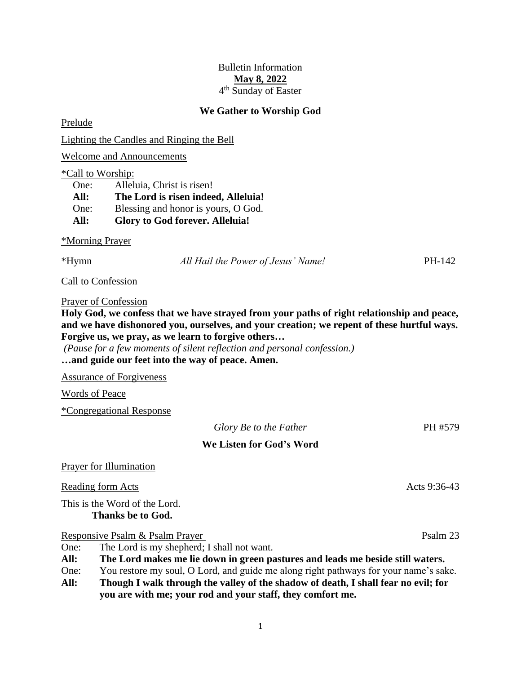## Bulletin Information **May 8, 2022** 4<sup>th</sup> Sunday of Easter

### **We Gather to Worship God**

Prelude

Lighting the Candles and Ringing the Bell

Welcome and Announcements

#### \*Call to Worship:

One: Alleluia, Christ is risen! **All: The Lord is risen indeed, Alleluia!** One: Blessing and honor is yours, O God. **All: Glory to God forever. Alleluia!**

### \*Morning Prayer

\*Hymn *All Hail the Power of Jesus' Name!* PH-142

Call to Confession

### Prayer of Confession

**Holy God, we confess that we have strayed from your paths of right relationship and peace, and we have dishonored you, ourselves, and your creation; we repent of these hurtful ways. Forgive us, we pray, as we learn to forgive others…**

*(Pause for a few moments of silent reflection and personal confession.)* **…and guide our feet into the way of peace. Amen.**

Assurance of Forgiveness

Words of Peace

\*Congregational Response

*Glory Be to the Father* PH #579

# **We Listen for God's Word**

## Prayer for Illumination

Reading form Acts 9:36-43

This is the Word of the Lord. **Thanks be to God.**

Responsive Psalm & Psalm Prayer Psalm 23

One: The Lord is my shepherd; I shall not want.

**All: The Lord makes me lie down in green pastures and leads me beside still waters.**

- One: You restore my soul, O Lord, and guide me along right pathways for your name's sake. **All: Though I walk through the valley of the shadow of death, I shall fear no evil; for**
- **you are with me; your rod and your staff, they comfort me.**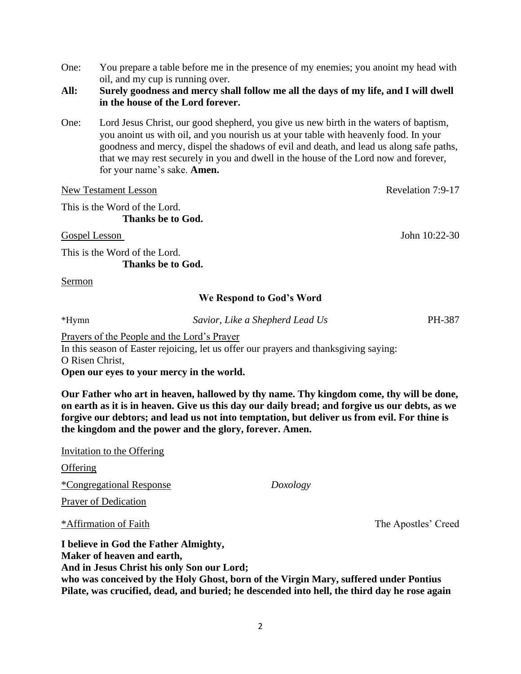One: You prepare a table before me in the presence of my enemies; you anoint my head with oil, and my cup is running over.

## **All: Surely goodness and mercy shall follow me all the days of my life, and I will dwell in the house of the Lord forever.**

One: Lord Jesus Christ, our good shepherd, you give us new birth in the waters of baptism, you anoint us with oil, and you nourish us at your table with heavenly food. In your goodness and mercy, dispel the shadows of evil and death, and lead us along safe paths, that we may rest securely in you and dwell in the house of the Lord now and forever, for your name's sake. **Amen.**

New Testament Lesson Revelation 7:9-17 This is the Word of the Lord. **Thanks be to God.**

Gospel Lesson John 10:22-30

This is the Word of the Lord. **Thanks be to God.**

Sermon

### **We Respond to God's Word**

\*Hymn *Savior, Like a Shepherd Lead Us* PH-387

Prayers of the People and the Lord's Prayer In this season of Easter rejoicing, let us offer our prayers and thanksgiving saying: O Risen Christ, **Open our eyes to your mercy in the world.**

**Our Father who art in heaven, hallowed by thy name. Thy kingdom come, thy will be done, on earth as it is in heaven. Give us this day our daily bread; and forgive us our debts, as we forgive our debtors; and lead us not into temptation, but deliver us from evil. For thine is the kingdom and the power and the glory, forever. Amen.**

| I believe in God the Father Almighty,<br>Maker of heaven and earth, |          |                     |
|---------------------------------------------------------------------|----------|---------------------|
| *Affirmation of Faith                                               |          | The Apostles' Creed |
| <b>Prayer of Dedication</b>                                         |          |                     |
| *Congregational Response                                            | Doxology |                     |
| Offering                                                            |          |                     |
| Invitation to the Offering                                          |          |                     |
|                                                                     |          |                     |

**And in Jesus Christ his only Son our Lord; who was conceived by the Holy Ghost, born of the Virgin Mary, suffered under Pontius Pilate, was crucified, dead, and buried; he descended into hell, the third day he rose again**